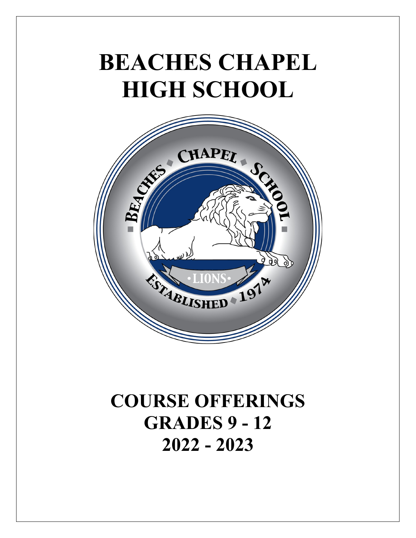# **BEACHES CHAPEL HIGH SCHOOL**



# **COURSE OFFERINGS GRADES 9 - 12 2022 - 2023**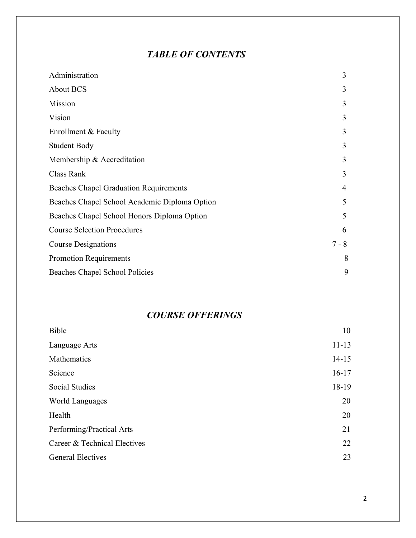### *TABLE OF CONTENTS*

| Administration                                | 3       |
|-----------------------------------------------|---------|
| <b>About BCS</b>                              | 3       |
| Mission                                       | 3       |
| Vision                                        | 3       |
| Enrollment & Faculty                          | 3       |
| <b>Student Body</b>                           | 3       |
| Membership & Accreditation                    | 3       |
| Class Rank                                    | 3       |
| <b>Beaches Chapel Graduation Requirements</b> | 4       |
| Beaches Chapel School Academic Diploma Option | 5       |
| Beaches Chapel School Honors Diploma Option   | 5       |
| <b>Course Selection Procedures</b>            | 6       |
| <b>Course Designations</b>                    | $7 - 8$ |
| <b>Promotion Requirements</b>                 | 8       |
| Beaches Chapel School Policies                | 9       |

### *COURSE OFFERINGS*

| Bible                        | 10        |
|------------------------------|-----------|
| Language Arts                | $11 - 13$ |
| Mathematics                  | $14 - 15$ |
| Science                      | $16 - 17$ |
| <b>Social Studies</b>        | 18-19     |
| World Languages              | 20        |
| Health                       | 20        |
| Performing/Practical Arts    | 21        |
| Career & Technical Electives | 22        |
| <b>General Electives</b>     | 23        |
|                              |           |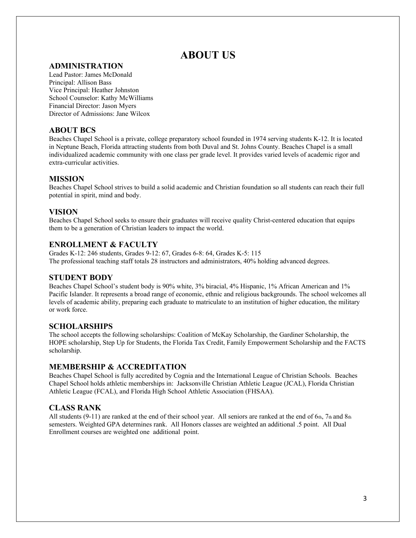### **ABOUT US**

#### **ADMINISTRATION**

Lead Pastor: James McDonald Principal: Allison Bass Vice Principal: Heather Johnston School Counselor: Kathy McWilliams Financial Director: Jason Myers Director of Admissions: Jane Wilcox

#### **ABOUT BCS**

Beaches Chapel School is a private, college preparatory school founded in 1974 serving students K-12. It is located in Neptune Beach, Florida attracting students from both Duval and St. Johns County. Beaches Chapel is a small individualized academic community with one class per grade level. It provides varied levels of academic rigor and extra-curricular activities.

#### **MISSION**

Beaches Chapel School strives to build a solid academic and Christian foundation so all students can reach their full potential in spirit, mind and body.

#### **VISION**

Beaches Chapel School seeks to ensure their graduates will receive quality Christ-centered education that equips them to be a generation of Christian leaders to impact the world.

#### **ENROLLMENT & FACULTY**

Grades K-12: 246 students, Grades 9-12: 67, Grades 6-8: 64, Grades K-5: 115 The professional teaching staff totals 28 instructors and administrators, 40% holding advanced degrees.

#### **STUDENT BODY**

Beaches Chapel School's student body is 90% white, 3% biracial, 4% Hispanic, 1% African American and 1% Pacific Islander. It represents a broad range of economic, ethnic and religious backgrounds. The school welcomes all levels of academic ability, preparing each graduate to matriculate to an institution of higher education, the military or work force.

#### **SCHOLARSHIPS**

The school accepts the following scholarships: Coalition of McKay Scholarship, the Gardiner Scholarship, the HOPE scholarship, Step Up for Students, the Florida Tax Credit, Family Empowerment Scholarship and the FACTS scholarship.

#### **MEMBERSHIP & ACCREDITATION**

Beaches Chapel School is fully accredited by Cognia and the International League of Christian Schools. Beaches Chapel School holds athletic memberships in: Jacksonville Christian Athletic League (JCAL), Florida Christian Athletic League (FCAL), and Florida High School Athletic Association (FHSAA).

#### **CLASS RANK**

All students (9-11) are ranked at the end of their school year. All seniors are ranked at the end of  $6<sub>th</sub>$ , 7th and  $8<sub>th</sub>$ semesters. Weighted GPA determines rank. All Honors classes are weighted an additional .5 point. All Dual Enrollment courses are weighted one additional point.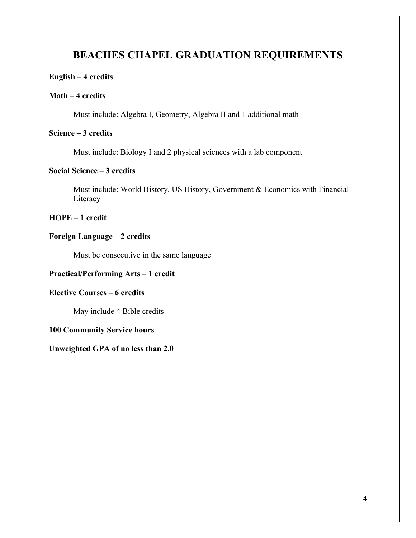### **BEACHES CHAPEL GRADUATION REQUIREMENTS**

#### **English – 4 credits**

#### **Math – 4 credits**

Must include: Algebra I, Geometry, Algebra II and 1 additional math

#### **Science – 3 credits**

Must include: Biology I and 2 physical sciences with a lab component

#### **Social Science – 3 credits**

Must include: World History, US History, Government & Economics with Financial Literacy

**HOPE – 1 credit**

#### **Foreign Language – 2 credits**

Must be consecutive in the same language

#### **Practical/Performing Arts – 1 credit**

#### **Elective Courses – 6 credits**

May include 4 Bible credits

#### **100 Community Service hours**

#### **Unweighted GPA of no less than 2.0**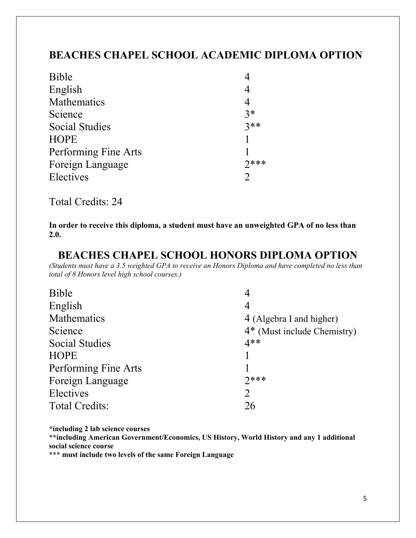### **BEACHES CHAPEL SCHOOL ACADEMIC DIPLOMA OPTION**

| <b>Bible</b>          |                  |
|-----------------------|------------------|
| English               | 4                |
| Mathematics           | 4                |
| Science               | $3*$             |
| <b>Social Studies</b> | $3**$            |
| <b>HOPE</b>           |                  |
| Performing Fine Arts  |                  |
| Foreign Language      | $7***$           |
| Electives             | $\sum_{i=1}^{n}$ |

Total Credits: 24

**In order to receive this diploma, a student must have an unweighted GPA of no less than 2.0.**

### **BEACHES CHAPEL SCHOOL HONORS DIPLOMA OPTION**

*(Students must have a 3.5 weighted GPA to receive an Honors Diploma and have completed no less than total of 8 Honors level high school courses.)*

| <b>Bible</b>          | 4                             |
|-----------------------|-------------------------------|
| English               | 4                             |
| Mathematics           | 4 (Algebra I and higher)      |
| Science               | $4*$ (Must include Chemistry) |
| <b>Social Studies</b> | $4**$                         |
| <b>HOPE</b>           |                               |
| Performing Fine Arts  |                               |
| Foreign Language      | $7***$                        |
| Electives             | $\overline{2}$                |
| <b>Total Credits:</b> | 26                            |
|                       |                               |

**\*including 2 lab science courses**

**\*\*including American Government/Economics, US History, World History and any 1 additional social science course**

**\*\*\* must include two levels of the same Foreign Language**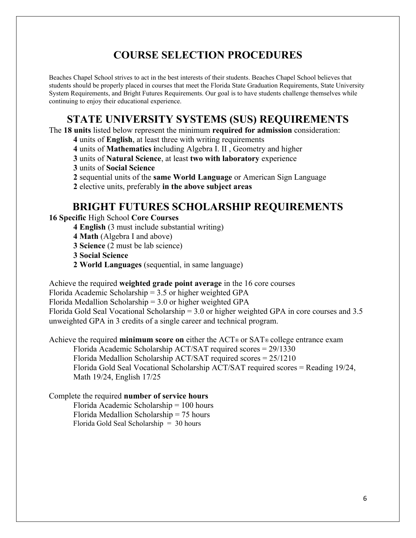### **COURSE SELECTION PROCEDURES**

Beaches Chapel School strives to act in the best interests of their students. Beaches Chapel School believes that students should be properly placed in courses that meet the Florida State Graduation Requirements, State University System Requirements, and Bright Futures Requirements. Our goal is to have students challenge themselves while continuing to enjoy their educational experience.

### **STATE UNIVERSITY SYSTEMS (SUS) REQUIREMENTS**

The **18 units** listed below represent the minimum **required for admission** consideration:

**4** units of **English**, at least three with writing requirements

**4** units of **Mathematics i**ncluding Algebra I. II , Geometry and higher

**3** units of **Natural Science**, at least **two with laboratory** experience

**3** units of **Social Science**

**2** sequential units of the **same World Language** or American Sign Language

**2** elective units, preferably **in the above subject areas**

### **BRIGHT FUTURES SCHOLARSHIP REQUIREMENTS**

**16 Specific** High School **Core Courses**

**4 English** (3 must include substantial writing)

**4 Math** (Algebra I and above)

**3 Science** (2 must be lab science)

**3 Social Science**

**2 World Languages** (sequential, in same language)

Achieve the required **weighted grade point average** in the 16 core courses

Florida Academic Scholarship = 3.5 or higher weighted GPA

Florida Medallion Scholarship = 3.0 or higher weighted GPA

Florida Gold Seal Vocational Scholarship = 3.0 or higher weighted GPA in core courses and 3.5 unweighted GPA in 3 credits of a single career and technical program.

Achieve the required **minimum score on** either the ACT® or SAT® college entrance exam

Florida Academic Scholarship ACT/SAT required scores = 29/1330 Florida Medallion Scholarship ACT/SAT required scores = 25/1210 Florida Gold Seal Vocational Scholarship ACT/SAT required scores = Reading 19/24, Math 19/24, English 17/25

#### Complete the required **number of service hours**

Florida Academic Scholarship = 100 hours Florida Medallion Scholarship = 75 hours Florida Gold Seal Scholarship = 30 hours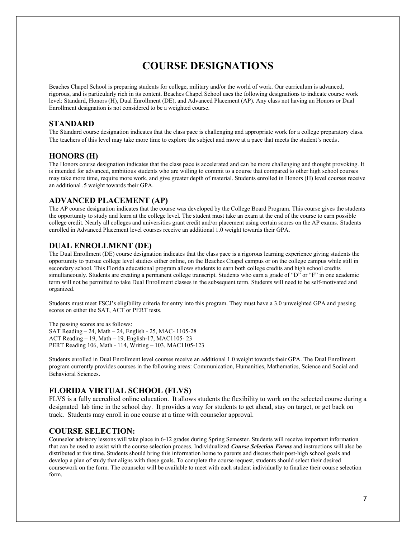### **COURSE DESIGNATIONS**

Beaches Chapel School is preparing students for college, military and/or the world of work. Our curriculum is advanced, rigorous, and is particularly rich in its content. Beaches Chapel School uses the following designations to indicate course work level: Standard, Honors (H), Dual Enrollment (DE), and Advanced Placement (AP). Any class not having an Honors or Dual Enrollment designation is not considered to be a weighted course.

#### **STANDARD**

The Standard course designation indicates that the class pace is challenging and appropriate work for a college preparatory class. The teachers of this level may take more time to explore the subject and move at a pace that meets the student's needs.

#### **HONORS (H)**

The Honors course designation indicates that the class pace is accelerated and can be more challenging and thought provoking. It is intended for advanced, ambitious students who are willing to commit to a course that compared to other high school courses may take more time, require more work, and give greater depth of material. Students enrolled in Honors (H) level courses receive an additional .5 weight towards their GPA.

#### **ADVANCED PLACEMENT (AP)**

The AP course designation indicates that the course was developed by the College Board Program. This course gives the students the opportunity to study and learn at the college level. The student must take an exam at the end of the course to earn possible college credit. Nearly all colleges and universities grant credit and/or placement using certain scores on the AP exams. Students enrolled in Advanced Placement level courses receive an additional 1.0 weight towards their GPA.

#### **DUAL ENROLLMENT (DE)**

The Dual Enrollment (DE) course designation indicates that the class pace is a rigorous learning experience giving students the opportunity to pursue college level studies either online, on the Beaches Chapel campus or on the college campus while still in secondary school. This Florida educational program allows students to earn both college credits and high school credits simultaneously. Students are creating a permanent college transcript. Students who earn a grade of "D" or "F" in one academic term will not be permitted to take Dual Enrollment classes in the subsequent term. Students will need to be self-motivated and organized.

Students must meet FSCJ's eligibility criteria for entry into this program. They must have a 3.0 unweighted GPA and passing scores on either the SAT, ACT or PERT tests.

The passing scores are as follows:

SAT Reading – 24, Math – 24, English - 25, MAC- 1105-28 ACT Reading – 19, Math – 19, English-17, MAC1105- 23 PERT Reading 106, Math - 114, Writing – 103, MAC1105-123

Students enrolled in Dual Enrollment level courses receive an additional 1.0 weight towards their GPA. The Dual Enrollment program currently provides courses in the following areas: Communication, Humanities, Mathematics, Science and Social and Behavioral Sciences.

#### **FLORIDA VIRTUAL SCHOOL (FLVS)**

FLVS is a fully accredited online education. It allows students the flexibility to work on the selected course during a designated lab time in the school day. It provides a way for students to get ahead, stay on target, or get back on track. Students may enroll in one course at a time with counselor approval.

#### **COURSE SELECTION:**

Counselor advisory lessons will take place in 6-12 grades during Spring Semester. Students will receive important information that can be used to assist with the course selection process. Individualized *Course Selection Forms* and instructions will also be distributed at this time. Students should bring this information home to parents and discuss their post-high school goals and develop a plan of study that aligns with these goals. To complete the course request, students should select their desired coursework on the form. The counselor will be available to meet with each student individually to finalize their course selection form.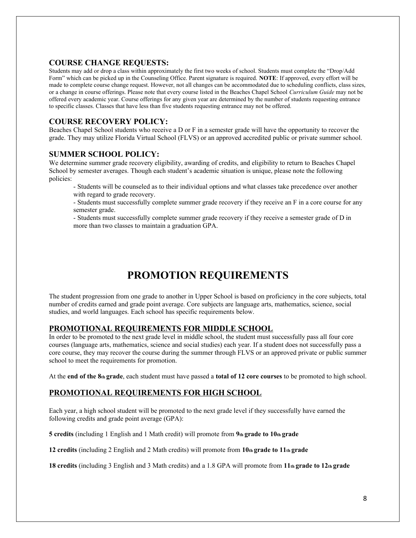#### **COURSE CHANGE REQUESTS:**

Students may add or drop a class within approximately the first two weeks of school. Students must complete the "Drop/Add Form" which can be picked up in the Counseling Office. Parent signature is required. **NOTE**: If approved, every effort will be made to complete course change request. However, not all changes can be accommodated due to scheduling conflicts, class sizes, or a change in course offerings. Please note that every course listed in the Beaches Chapel School *Curriculum Guide* may not be offered every academic year. Course offerings for any given year are determined by the number of students requesting entrance to specific classes. Classes that have less than five students requesting entrance may not be offered.

#### **COURSE RECOVERY POLICY:**

Beaches Chapel School students who receive a D or F in a semester grade will have the opportunity to recover the grade. They may utilize Florida Virtual School (FLVS) or an approved accredited public or private summer school.

#### **SUMMER SCHOOL POLICY:**

We determine summer grade recovery eligibility, awarding of credits, and eligibility to return to Beaches Chapel School by semester averages. Though each student's academic situation is unique, please note the following policies:

- Students will be counseled as to their individual options and what classes take precedence over another with regard to grade recovery.
- Students must successfully complete summer grade recovery if they receive an F in a core course for any semester grade.
- Students must successfully complete summer grade recovery if they receive a semester grade of D in more than two classes to maintain a graduation GPA.

### **PROMOTION REQUIREMENTS**

The student progression from one grade to another in Upper School is based on proficiency in the core subjects, total number of credits earned and grade point average. Core subjects are language arts, mathematics, science, social studies, and world languages. Each school has specific requirements below.

#### **PROMOTIONAL REQUIREMENTS FOR MIDDLE SCHOOL**

In order to be promoted to the next grade level in middle school, the student must successfully pass all four core courses (language arts, mathematics, science and social studies) each year. If a student does not successfully pass a core course, they may recover the course during the summer through FLVS or an approved private or public summer school to meet the requirements for promotion.

At the **end of the 8th grade**, each student must have passed a **total of 12 core courses** to be promoted to high school.

#### **PROMOTIONAL REQUIREMENTS FOR HIGH SCHOOL**

Each year, a high school student will be promoted to the next grade level if they successfully have earned the following credits and grade point average (GPA):

**5 credits** (including 1 English and 1 Math credit) will promote from **9th grade to 10th grade**

**12 credits** (including 2 English and 2 Math credits) will promote from **10th grade to 11th grade**

**18 credits** (including 3 English and 3 Math credits) and a 1.8 GPA will promote from **11th grade to 12th grade**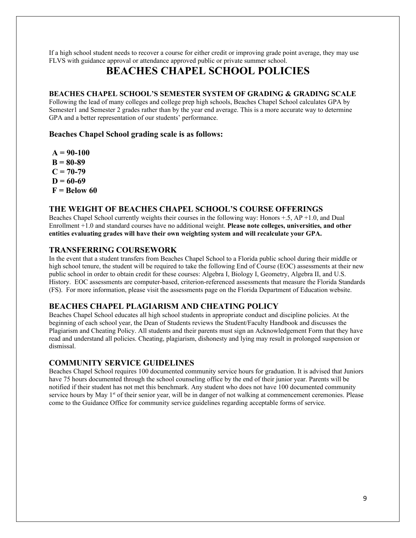If a high school student needs to recover a course for either credit or improving grade point average, they may use FLVS with guidance approval or attendance approved public or private summer school.

### **BEACHES CHAPEL SCHOOL POLICIES**

#### **BEACHES CHAPEL SCHOOL'S SEMESTER SYSTEM OF GRADING & GRADING SCALE**

Following the lead of many colleges and college prep high schools, Beaches Chapel School calculates GPA by Semester1 and Semester 2 grades rather than by the year end average. This is a more accurate way to determine GPA and a better representation of our students' performance.

#### **Beaches Chapel School grading scale is as follows:**

**A = 90-100 B = 80-89**  $C = 70-79$  $D = 60-69$ **F = Below 60**

#### **THE WEIGHT OF BEACHES CHAPEL SCHOOL'S COURSE OFFERINGS**

Beaches Chapel School currently weights their courses in the following way: Honors +.5, AP +1.0, and Dual Enrollment +1.0 and standard courses have no additional weight. **Please note colleges, universities, and other entities evaluating grades will have their own weighting system and will recalculate your GPA.**

#### **TRANSFERRING COURSEWORK**

In the event that a student transfers from Beaches Chapel School to a Florida public school during their middle or high school tenure, the student will be required to take the following End of Course (EOC) assessments at their new public school in order to obtain credit for these courses: Algebra I, Biology I, Geometry, Algebra II, and U.S. History. EOC assessments are computer-based, criterion-referenced assessments that measure the Florida Standards (FS). For more information, please visit the assessments page on the Florida Department of Education website.

#### **BEACHES CHAPEL PLAGIARISM AND CHEATING POLICY**

Beaches Chapel School educates all high school students in appropriate conduct and discipline policies. At the beginning of each school year, the Dean of Students reviews the Student/Faculty Handbook and discusses the Plagiarism and Cheating Policy. All students and their parents must sign an Acknowledgement Form that they have read and understand all policies. Cheating, plagiarism, dishonesty and lying may result in prolonged suspension or dismissal.

#### **COMMUNITY SERVICE GUIDELINES**

Beaches Chapel School requires 100 documented community service hours for graduation. It is advised that Juniors have 75 hours documented through the school counseling office by the end of their junior year. Parents will be notified if their student has not met this benchmark. Any student who does not have 100 documented community service hours by May 1<sup>st</sup> of their senior year, will be in danger of not walking at commencement ceremonies. Please come to the Guidance Office for community service guidelines regarding acceptable forms of service.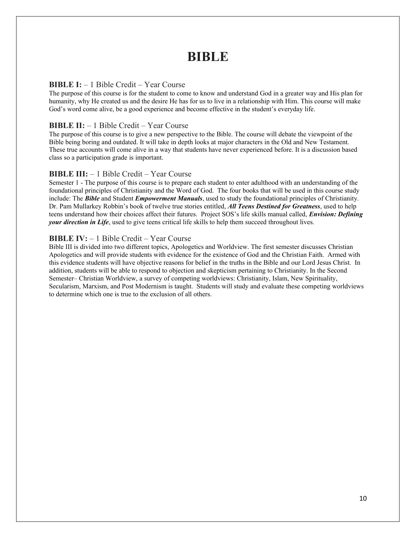## **BIBLE**

#### **BIBLE I:** – 1 Bible Credit – Year Course

The purpose of this course is for the student to come to know and understand God in a greater way and His plan for humanity, why He created us and the desire He has for us to live in a relationship with Him. This course will make God's word come alive, be a good experience and become effective in the student's everyday life.

#### **BIBLE II:** – 1 Bible Credit – Year Course

The purpose of this course is to give a new perspective to the Bible. The course will debate the viewpoint of the Bible being boring and outdated. It will take in depth looks at major characters in the Old and New Testament. These true accounts will come alive in a way that students have never experienced before. It is a discussion based class so a participation grade is important.

#### **BIBLE III:** – 1 Bible Credit – Year Course

Semester 1 - The purpose of this course is to prepare each student to enter adulthood with an understanding of the foundational principles of Christianity and the Word of God. The four books that will be used in this course study include: The *Bible* and Student *Empowerment Manuals*, used to study the foundational principles of Christianity. Dr. Pam Mullarkey Robbin's book of twelve true stories entitled, *All Teens Destined for Greatness*, used to help teens understand how their choices affect their futures. Project SOS's life skills manual called, *Envision: Defining your direction in Life*, used to give teens critical life skills to help them succeed throughout lives.

#### **BIBLE IV:**  $-1$  Bible Credit – Year Course

Bible III is divided into two different topics, Apologetics and Worldview. The first semester discusses Christian Apologetics and will provide students with evidence for the existence of God and the Christian Faith. Armed with this evidence students will have objective reasons for belief in the truths in the Bible and our Lord Jesus Christ. In addition, students will be able to respond to objection and skepticism pertaining to Christianity. In the Second Semester– Christian Worldview, a survey of competing worldviews: Christianity, Islam, New Spirituality, Secularism, Marxism, and Post Modernism is taught. Students will study and evaluate these competing worldviews to determine which one is true to the exclusion of all others.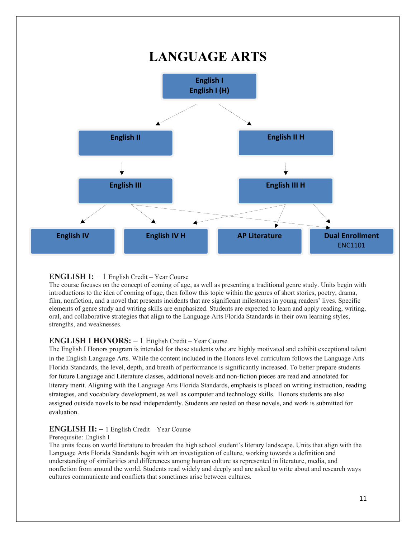

#### **ENGLISH I:**  $-1$  English Credit – Year Course

The course focuses on the concept of coming of age, as well as presenting a traditional genre study. Units begin with introductions to the idea of coming of age, then follow this topic within the genres of short stories, poetry, drama, film, nonfiction, and a novel that presents incidents that are significant milestones in young readers' lives. Specific elements of genre study and writing skills are emphasized. Students are expected to learn and apply reading, writing, oral, and collaborative strategies that align to the Language Arts Florida Standards in their own learning styles, strengths, and weaknesses.

#### **ENGLISH I HONORS:** – 1 English Credit – Year Course

The English I Honors program is intended for those students who are highly motivated and exhibit exceptional talent in the English Language Arts. While the content included in the Honors level curriculum follows the Language Arts Florida Standards, the level, depth, and breath of performance is significantly increased. To better prepare students for future Language and Literature classes, additional novels and non-fiction pieces are read and annotated for literary merit. Aligning with the Language Arts Florida Standards, emphasis is placed on writing instruction, reading strategies, and vocabulary development, as well as computer and technology skills. Honors students are also assigned outside novels to be read independently. Students are tested on these novels, and work is submitted for evaluation.

#### **ENGLISH II:**  $-1$  English Credit – Year Course

#### Prerequisite: English I

The units focus on world literature to broaden the high school student's literary landscape. Units that align with the Language Arts Florida Standards begin with an investigation of culture, working towards a definition and understanding of similarities and differences among human culture as represented in literature, media, and nonfiction from around the world. Students read widely and deeply and are asked to write about and research ways cultures communicate and conflicts that sometimes arise between cultures.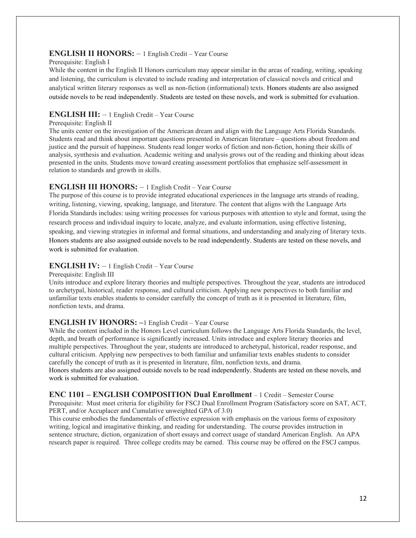#### **ENGLISH II HONORS:** – 1 English Credit – Year Course

#### Prerequisite: English I

While the content in the English II Honors curriculum may appear similar in the areas of reading, writing, speaking and listening, the curriculum is elevated to include reading and interpretation of classical novels and critical and analytical written literary responses as well as non-fiction (informational) texts. Honors students are also assigned outside novels to be read independently. Students are tested on these novels, and work is submitted for evaluation.

#### **ENGLISH III:** – 1 English Credit – Year Course

#### Prerequisite: English II

The units center on the investigation of the American dream and align with the Language Arts Florida Standards. Students read and think about important questions presented in American literature – questions about freedom and justice and the pursuit of happiness. Students read longer works of fiction and non-fiction, honing their skills of analysis, synthesis and evaluation. Academic writing and analysis grows out of the reading and thinking about ideas presented in the units. Students move toward creating assessment portfolios that emphasize self-assessment in relation to standards and growth in skills.

#### **ENGLISH III HONORS:** – 1 English Credit – Year Course

The purpose of this course is to provide integrated educational experiences in the language arts strands of reading, writing, listening, viewing, speaking, language, and literature. The content that aligns with the Language Arts Florida Standards includes: using writing processes for various purposes with attention to style and format, using the research process and individual inquiry to locate, analyze, and evaluate information, using effective listening, speaking, and viewing strategies in informal and formal situations, and understanding and analyzing of literary texts. Honors students are also assigned outside novels to be read independently. Students are tested on these novels, and work is submitted for evaluation.

#### **ENGLISH IV:**  $-1$  English Credit – Year Course

Prerequisite: English III

Units introduce and explore literary theories and multiple perspectives. Throughout the year, students are introduced to archetypal, historical, reader response, and cultural criticism. Applying new perspectives to both familiar and unfamiliar texts enables students to consider carefully the concept of truth as it is presented in literature, film, nonfiction texts, and drama.

#### **ENGLISH IV HONORS: –**1 English Credit – Year Course

While the content included in the Honors Level curriculum follows the Language Arts Florida Standards, the level, depth, and breath of performance is significantly increased. Units introduce and explore literary theories and multiple perspectives. Throughout the year, students are introduced to archetypal, historical, reader response, and cultural criticism. Applying new perspectives to both familiar and unfamiliar texts enables students to consider carefully the concept of truth as it is presented in literature, film, nonfiction texts, and drama. Honors students are also assigned outside novels to be read independently. Students are tested on these novels, and work is submitted for evaluation.

**ENC 1101 – ENGLISH COMPOSITION Dual Enrollment** – 1 Credit – Semester Course Prerequisite: Must meet criteria for eligibility for FSCJ Dual Enrollment Program (Satisfactory score on SAT, ACT, PERT, and/or Accuplacer and Cumulative unweighted GPA of 3.0)

This course embodies the fundamentals of effective expression with emphasis on the various forms of expository writing, logical and imaginative thinking, and reading for understanding. The course provides instruction in sentence structure, diction, organization of short essays and correct usage of standard American English. An APA research paper is required. Three college credits may be earned. This course may be offered on the FSCJ campus.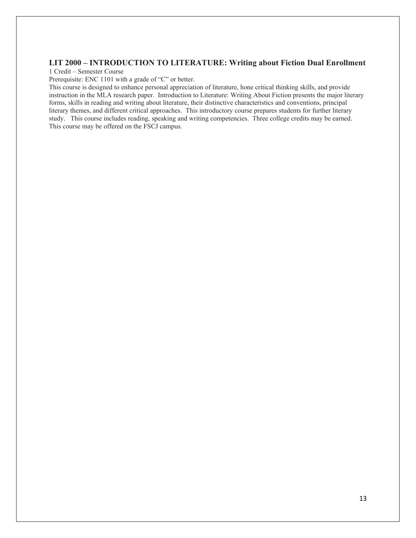#### **LIT 2000 – INTRODUCTION TO LITERATURE: Writing about Fiction Dual Enrollment**

1 Credit – Semester Course

Prerequisite: ENC 1101 with a grade of "C" or better.

This course is designed to enhance personal appreciation of literature, hone critical thinking skills, and provide instruction in the MLA research paper. Introduction to Literature: Writing About Fiction presents the major literary forms, skills in reading and writing about literature, their distinctive characteristics and conventions, principal literary themes, and different critical approaches. This introductory course prepares students for further literary study. This course includes reading, speaking and writing competencies. Three college credits may be earned. This course may be offered on the FSCJ campus.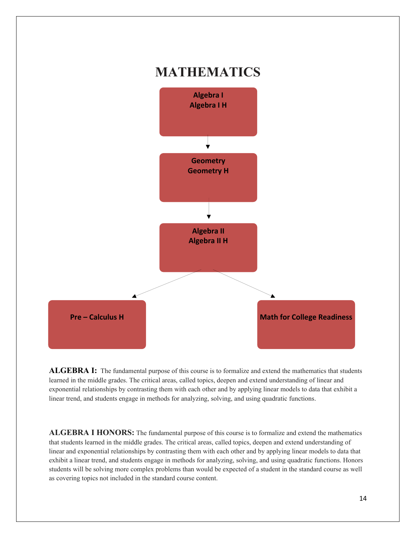

**ALGEBRA I:** The fundamental purpose of this course is to formalize and extend the mathematics that students learned in the middle grades. The critical areas, called topics, deepen and extend understanding of linear and exponential relationships by contrasting them with each other and by applying linear models to data that exhibit a linear trend, and students engage in methods for analyzing, solving, and using quadratic functions.

**ALGEBRA I HONORS:** The fundamental purpose of this course is to formalize and extend the mathematics that students learned in the middle grades. The critical areas, called topics, deepen and extend understanding of linear and exponential relationships by contrasting them with each other and by applying linear models to data that exhibit a linear trend, and students engage in methods for analyzing, solving, and using quadratic functions. Honors students will be solving more complex problems than would be expected of a student in the standard course as well as covering topics not included in the standard course content.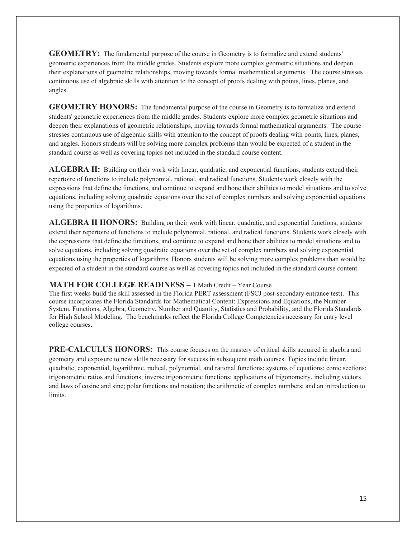**GEOMETRY:** The fundamental purpose of the course in Geometry is to formalize and extend students' geometric experiences from the middle grades. Students explore more complex geometric situations and deepen their explanations of geometric relationships, moving towards formal mathematical arguments. The course stresses continuous use of algebraic skills with attention to the concept of proofs dealing with points, lines, planes, and angles.

**GEOMETRY HONORS:** The fundamental purpose of the course in Geometry is to formalize and extend students' geometric experiences from the middle grades. Students explore more complex geometric situations and deepen their explanations of geometric relationships, moving towards formal mathematical arguments. The course stresses continuous use of algebraic skills with attention to the concept of proofs dealing with points, lines, planes, and angles. Honors students will be solving more complex problems than would be expected of a student in the standard course as well as covering topics not included in the standard course content.

**ALGEBRA II:** Building on their work with linear, quadratic, and exponential functions, students extend their repertoire of functions to include polynomial, rational, and radical functions. Students work closely with the expressions that define the functions, and continue to expand and hone their abilities to model situations and to solve equations, including solving quadratic equations over the set of complex numbers and solving exponential equations using the properties of logarithms.

**ALGEBRA II HONORS:** Building on their work with linear, quadratic, and exponential functions, students extend their repertoire of functions to include polynomial, rational, and radical functions. Students work closely with the expressions that define the functions, and continue to expand and hone their abilities to model situations and to solve equations, including solving quadratic equations over the set of complex numbers and solving exponential equations using the properties of logarithms. Honors students will be solving more complex problems than would be expected of a student in the standard course as well as covering topics not included in the standard course content.

#### **MATH FOR COLLEGE READINESS –** 1 Math Credit – Year Course

The first weeks build the skill assessed in the Florida PERT assessment (FSCJ post-secondary entrance test). This course incorporates the Florida Standards for Mathematical Content: Expressions and Equations, the Number System, Functions, Algebra, Geometry, Number and Quantity, Statistics and Probability, and the Florida Standards for High School Modeling. The benchmarks reflect the Florida College Competencies necessary for entry level college courses.

**PRE-CALCULUS HONORS:** This course focuses on the mastery of critical skills acquired in algebra and geometry and exposure to new skills necessary for success in subsequent math courses. Topics include linear, quadratic, exponential, logarithmic, radical, polynomial, and rational functions; systems of equations; conic sections; trigonometric ratios and functions; inverse trigonometric functions; applications of trigonometry, including vectors and laws of cosine and sine; polar functions and notation; the arithmetic of complex numbers; and an introduction to limits.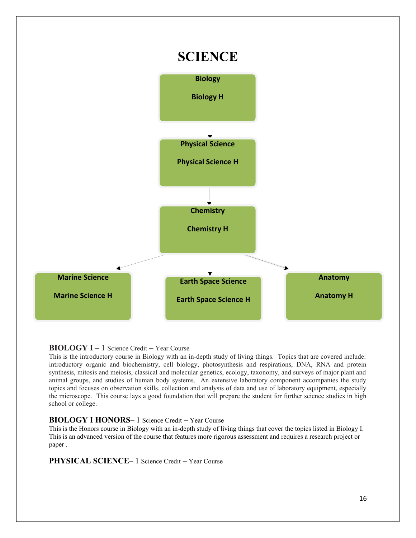

#### **BIOLOGY I** – 1 Science Credit – Year Course

This is the introductory course in Biology with an in-depth study of living things. Topics that are covered include: introductory organic and biochemistry, cell biology, photosynthesis and respirations, DNA, RNA and protein synthesis, mitosis and meiosis, classical and molecular genetics, ecology, taxonomy, and surveys of major plant and animal groups, and studies of human body systems. An extensive laboratory component accompanies the study topics and focuses on observation skills, collection and analysis of data and use of laboratory equipment, especially the microscope. This course lays a good foundation that will prepare the student for further science studies in high school or college.

#### **BIOLOGY I HONORS**– 1 Science Credit – Year Course

This is the Honors course in Biology with an in-depth study of living things that cover the topics listed in Biology I. This is an advanced version of the course that features more rigorous assessment and requires a research project or paper .

**PHYSICAL SCIENCE** – 1 Science Credit – Year Course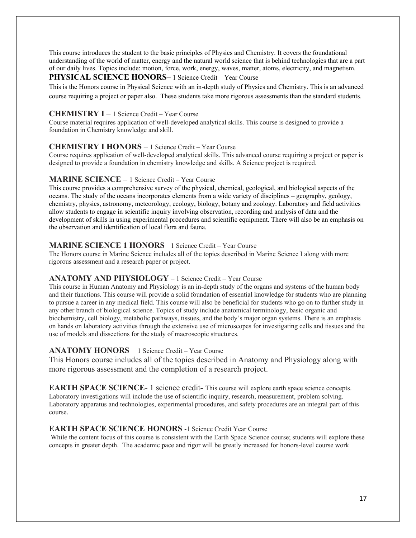This course introduces the student to the basic principles of Physics and Chemistry. It covers the foundational understanding of the world of matter, energy and the natural world science that is behind technologies that are a part of our daily lives. Topics include: motion, force, work, energy, waves, matter, atoms, electricity, and magnetism.

#### **PHYSICAL SCIENCE HONORS** – 1 Science Credit – Year Course

This is the Honors course in Physical Science with an in-depth study of Physics and Chemistry. This is an advanced course requiring a project or paper also. These students take more rigorous assessments than the standard students.

#### **CHEMISTRY I** – 1 Science Credit – Year Course

Course material requires application of well-developed analytical skills. This course is designed to provide a foundation in Chemistry knowledge and skill.

#### **CHEMISTRY I HONORS** – 1 Science Credit – Year Course

Course requires application of well-developed analytical skills. This advanced course requiring a project or paper is designed to provide a foundation in chemistry knowledge and skills. A Science project is required.

#### **MARINE SCIENCE –** 1 Science Credit – Year Course

This course provides a comprehensive survey of the physical, chemical, geological, and biological aspects of the oceans. The study of the oceans incorporates elements from a wide variety of disciplines – geography, geology, chemistry, physics, astronomy, meteorology, ecology, biology, botany and zoology. Laboratory and field activities allow students to engage in scientific inquiry involving observation, recording and analysis of data and the development of skills in using experimental procedures and scientific equipment. There will also be an emphasis on the observation and identification of local flora and fauna.

#### **MARINE SCIENCE 1 HONORS**– 1 Science Credit – Year Course

The Honors course in Marine Science includes all of the topics described in Marine Science I along with more rigorous assessment and a research paper or project.

#### **ANATOMY AND PHYSIOLOGY** – 1 Science Credit – Year Course

This course in Human Anatomy and Physiology is an in-depth study of the organs and systems of the human body and their functions. This course will provide a solid foundation of essential knowledge for students who are planning to pursue a career in any medical field. This course will also be beneficial for students who go on to further study in any other branch of biological science. Topics of study include anatomical terminology, basic organic and biochemistry, cell biology, metabolic pathways, tissues, and the body's major organ systems. There is an emphasis on hands on laboratory activities through the extensive use of microscopes for investigating cells and tissues and the use of models and dissections for the study of macroscopic structures.

#### **ANATOMY HONORS** – 1 Science Credit – Year Course

This Honors course includes all of the topics described in Anatomy and Physiology along with more rigorous assessment and the completion of a research project.

**EARTH SPACE SCIENCE**- 1 science credit**-** This course will explore earth space science concepts. Laboratory investigations will include the use of scientific inquiry, research, measurement, problem solving. Laboratory apparatus and technologies, experimental procedures, and safety procedures are an integral part of this course.

#### **EARTH SPACE SCIENCE HONORS** -1 Science Credit Year Course

While the content focus of this course is consistent with the Earth Space Science course; students will explore these concepts in greater depth. The academic pace and rigor will be greatly increased for honors-level course work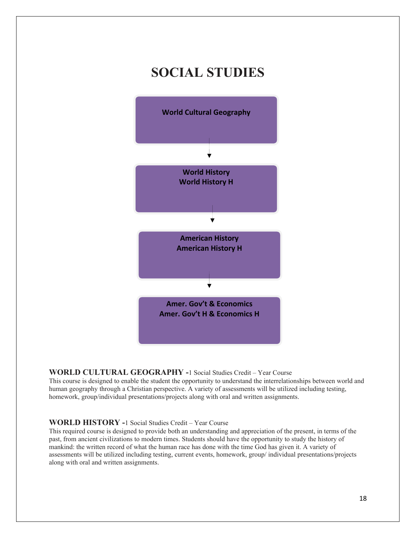## **SOCIAL STUDIES**



#### **WORLD CULTURAL GEOGRAPHY -**1 Social Studies Credit – Year Course

This course is designed to enable the student the opportunity to understand the interrelationships between world and human geography through a Christian perspective. A variety of assessments will be utilized including testing, homework, group/individual presentations/projects along with oral and written assignments.

#### **WORLD HISTORY -**1 Social Studies Credit – Year Course

This required course is designed to provide both an understanding and appreciation of the present, in terms of the past, from ancient civilizations to modern times. Students should have the opportunity to study the history of mankind: the written record of what the human race has done with the time God has given it. A variety of assessments will be utilized including testing, current events, homework, group/ individual presentations/projects along with oral and written assignments.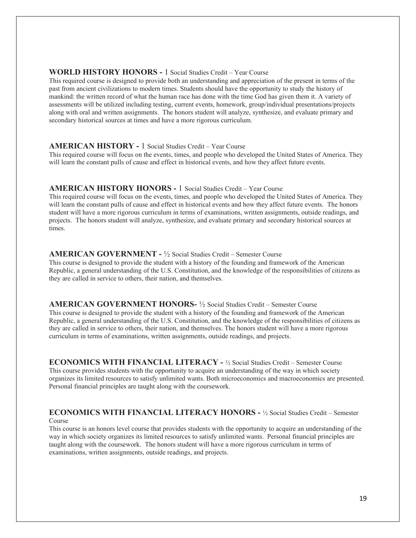#### **WORLD HISTORY HONORS -** 1 Social Studies Credit – Year Course

This required course is designed to provide both an understanding and appreciation of the present in terms of the past from ancient civilizations to modern times. Students should have the opportunity to study the history of mankind: the written record of what the human race has done with the time God has given them it. A variety of assessments will be utilized including testing, current events, homework, group/individual presentations/projects along with oral and written assignments. The honors student will analyze, synthesize, and evaluate primary and secondary historical sources at times and have a more rigorous curriculum.

#### **AMERICAN HISTORY -** 1 Social Studies Credit – Year Course

This required course will focus on the events, times, and people who developed the United States of America. They will learn the constant pulls of cause and effect in historical events, and how they affect future events.

#### **AMERICAN HISTORY HONORS -** 1 Social Studies Credit – Year Course

This required course will focus on the events, times, and people who developed the United States of America. They will learn the constant pulls of cause and effect in historical events and how they affect future events. The honors student will have a more rigorous curriculum in terms of examinations, written assignments, outside readings, and projects. The honors student will analyze, synthesize, and evaluate primary and secondary historical sources at times.

#### **AMERICAN GOVERNMENT -** ½ Social Studies Credit – Semester Course

This course is designed to provide the student with a history of the founding and framework of the American Republic, a general understanding of the U.S. Constitution, and the knowledge of the responsibilities of citizens as they are called in service to others, their nation, and themselves.

#### **AMERICAN GOVERNMENT HONORS-** ½ Social Studies Credit – Semester Course This course is designed to provide the student with a history of the founding and framework of the American Republic, a general understanding of the U.S. Constitution, and the knowledge of the responsibilities of citizens as they are called in service to others, their nation, and themselves. The honors student will have a more rigorous

curriculum in terms of examinations, written assignments, outside readings, and projects.

**ECONOMICS WITH FINANCIAL LITERACY -** ½ Social Studies Credit – Semester Course This course provides students with the opportunity to acquire an understanding of the way in which society organizes its limited resources to satisfy unlimited wants. Both microeconomics and macroeconomics are presented. Personal financial principles are taught along with the coursework.

#### **ECONOMICS WITH FINANCIAL LITERACY HONORS -** ½ Social Studies Credit – Semester Course

This course is an honors level course that provides students with the opportunity to acquire an understanding of the way in which society organizes its limited resources to satisfy unlimited wants. Personal financial principles are taught along with the coursework. The honors student will have a more rigorous curriculum in terms of examinations, written assignments, outside readings, and projects.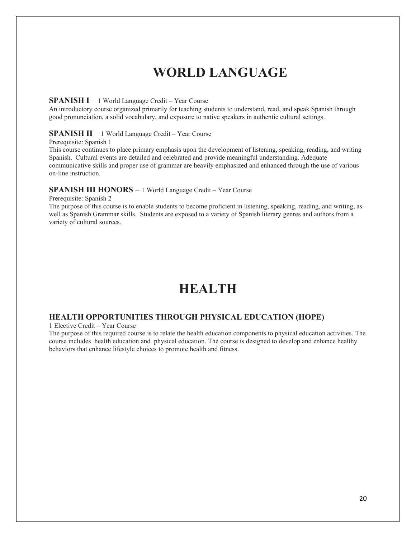# **WORLD LANGUAGE**

#### **SPANISH I** – 1 World Language Credit – Year Course

An introductory course organized primarily for teaching students to understand, read, and speak Spanish through good pronunciation, a solid vocabulary, and exposure to native speakers in authentic cultural settings.

#### **SPANISH II** – 1 World Language Credit – Year Course

Prerequisite: Spanish 1

This course continues to place primary emphasis upon the development of listening, speaking, reading, and writing Spanish. Cultural events are detailed and celebrated and provide meaningful understanding. Adequate communicative skills and proper use of grammar are heavily emphasized and enhanced through the use of various on-line instruction.

#### **SPANISH III HONORS** – 1 World Language Credit – Year Course

Prerequisite: Spanish 2

The purpose of this course is to enable students to become proficient in listening, speaking, reading, and writing, as well as Spanish Grammar skills. Students are exposed to a variety of Spanish literary genres and authors from a variety of cultural sources.

# **HEALTH**

#### **HEALTH OPPORTUNITIES THROUGH PHYSICAL EDUCATION (HOPE)**

1 Elective Credit – Year Course

The purpose of this required course is to relate the health education components to physical education activities. The course includes health education and physical education. The course is designed to develop and enhance healthy behaviors that enhance lifestyle choices to promote health and fitness.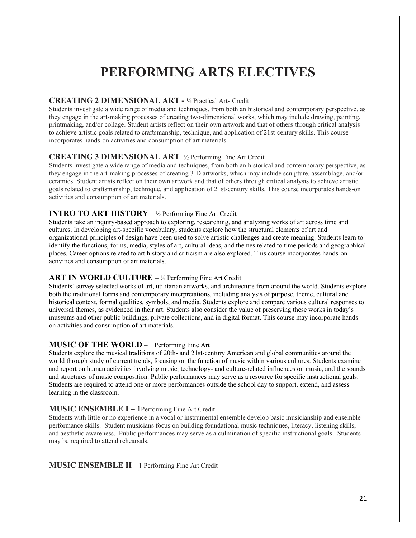# **PERFORMING ARTS ELECTIVES**

#### **CREATING 2 DIMENSIONAL ART -** ½ Practical Arts Credit

Students investigate a wide range of media and techniques, from both an historical and contemporary perspective, as they engage in the art-making processes of creating two-dimensional works, which may include drawing, painting, printmaking, and/or collage. Student artists reflect on their own artwork and that of others through critical analysis to achieve artistic goals related to craftsmanship, technique, and application of 21st-century skills. This course incorporates hands-on activities and consumption of art materials.

#### **CREATING 3 DIMENSIONAL ART** ½ Performing Fine Art Credit

Students investigate a wide range of media and techniques, from both an historical and contemporary perspective, as they engage in the art-making processes of creating 3-D artworks, which may include sculpture, assemblage, and/or ceramics. Student artists reflect on their own artwork and that of others through critical analysis to achieve artistic goals related to craftsmanship, technique, and application of 21st-century skills. This course incorporates hands-on activities and consumption of art materials.

#### **INTRO TO ART HISTORY** – ½ Performing Fine Art Credit

Students take an inquiry-based approach to exploring, researching, and analyzing works of art across time and cultures. In developing art-specific vocabulary, students explore how the structural elements of art and organizational principles of design have been used to solve artistic challenges and create meaning. Students learn to identify the functions, forms, media, styles of art, cultural ideas, and themes related to time periods and geographical places. Career options related to art history and criticism are also explored. This course incorporates hands-on activities and consumption of art materials.

#### **ART IN WORLD CULTURE** – ½ Performing Fine Art Credit

Students' survey selected works of art, utilitarian artworks, and architecture from around the world. Students explore both the traditional forms and contemporary interpretations, including analysis of purpose, theme, cultural and historical context, formal qualities, symbols, and media. Students explore and compare various cultural responses to universal themes, as evidenced in their art. Students also consider the value of preserving these works in today's museums and other public buildings, private collections, and in digital format. This course may incorporate handson activities and consumption of art materials.

#### **MUSIC OF THE WORLD** – 1 Performing Fine Art

Students explore the musical traditions of 20th- and 21st-century American and global communities around the world through study of current trends, focusing on the function of music within various cultures. Students examine and report on human activities involving music, technology- and culture-related influences on music, and the sounds and structures of music composition. Public performances may serve as a resource for specific instructional goals. Students are required to attend one or more performances outside the school day to support, extend, and assess learning in the classroom.

#### **MUSIC ENSEMBLE I –** 1Performing Fine Art Credit

Students with little or no experience in a vocal or instrumental ensemble develop basic musicianship and ensemble performance skills. Student musicians focus on building foundational music techniques, literacy, listening skills, and aesthetic awareness. Public performances may serve as a culmination of specific instructional goals. Students may be required to attend rehearsals.

**MUSIC ENSEMBLE II** – 1 Performing Fine Art Credit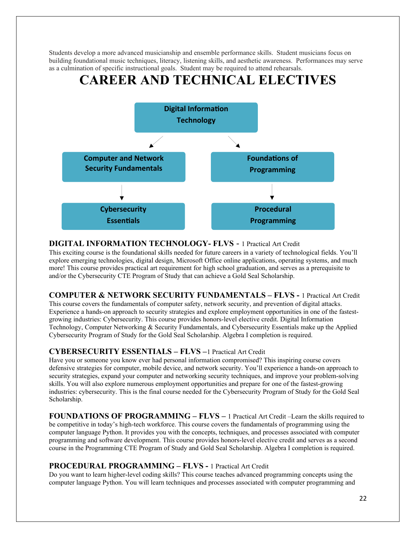Students develop a more advanced musicianship and ensemble performance skills. Student musicians focus on building foundational music techniques, literacy, listening skills, and aesthetic awareness. Performances may serve as a culmination of specific instructional goals. Student may be required to attend rehearsals.

# **CAREER AND TECHNICAL ELECTIVES**



#### **DIGITAL INFORMATION TECHNOLOGY- FLVS** - 1 Practical Art Credit

This exciting course is the foundational skills needed for future careers in a variety of technological fields. You'll explore emerging technologies, digital design, Microsoft Office online applications, operating systems, and much more! This course provides practical art requirement for high school graduation, and serves as a prerequisite to and/or the Cybersecurity CTE Program of Study that can achieve a Gold Seal Scholarship.

#### **COMPUTER & NETWORK SECURITY FUNDAMENTALS – FLVS -** 1 Practical Art Credit

This course covers the fundamentals of computer safety, network security, and prevention of digital attacks. Experience a hands-on approach to security strategies and explore employment opportunities in one of the fastestgrowing industries: Cybersecurity. This course provides honors-level elective credit. Digital Information Technology, Computer Networking & Security Fundamentals, and Cybersecurity Essentials make up the Applied Cybersecurity Program of Study for the Gold Seal Scholarship. Algebra I completion is required.

#### **CYBERSECURITY ESSENTIALS – FLVS –**1 Practical Art Credit

Have you or someone you know ever had personal information compromised? This inspiring course covers defensive strategies for computer, mobile device, and network security. You'll experience a hands-on approach to security strategies, expand your computer and networking security techniques, and improve your problem-solving skills. You will also explore numerous employment opportunities and prepare for one of the fastest-growing industries: cybersecurity. This is the final course needed for the Cybersecurity Program of Study for the Gold Seal Scholarship.

**FOUNDATIONS OF PROGRAMMING – FLVS –** 1 Practical Art Credit –Learn the skills required to be competitive in today's high-tech workforce. This course covers the fundamentals of programming using the computer language Python. It provides you with the concepts, techniques, and processes associated with computer programming and software development. This course provides honors-level elective credit and serves as a second course in the Programming CTE Program of Study and Gold Seal Scholarship. Algebra I completion is required.

#### **PROCEDURAL PROGRAMMING – FLVS -** 1 Practical Art Credit

Do you want to learn higher-level coding skills? This course teaches advanced programming concepts using the computer language Python. You will learn techniques and processes associated with computer programming and